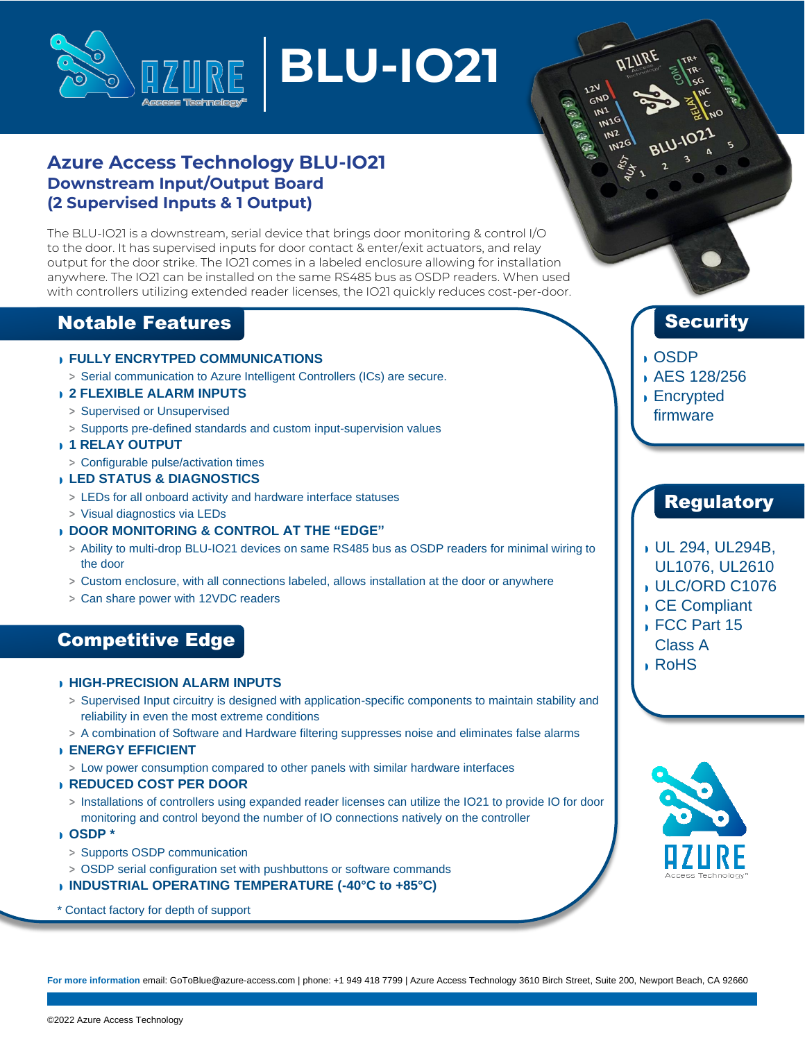

# **BLU-IO21**

## **Azure Access Technology BLU-IO21 Downstream Input/Output Board (2 Supervised Inputs & 1 Output)**

The BLU-IO21 is a downstream, serial device that brings door monitoring & control I/O to the door. It has supervised inputs for door contact & enter/exit actuators, and relay output for the door strike. The IO21 comes in a labeled enclosure allowing for installation anywhere. The IO21 can be installed on the same RS485 bus as OSDP readers. When used with controllers utilizing extended reader licenses, the IO21 quickly reduces cost-per-door.

## Notable Features

#### ◗ **FULLY ENCRYTPED COMMUNICATIONS**

**>** Serial communication to Azure Intelligent Controllers (ICs) are secure.

#### ◗ **2 FLEXIBLE ALARM INPUTS**

- **>** Supervised or Unsupervised
- **>** Supports pre-defined standards and custom input-supervision values
- ◗ **1 RELAY OUTPUT**
- **>** Configurable pulse/activation times
- ◗ **LED STATUS & DIAGNOSTICS**
	- **>** LEDs for all onboard activity and hardware interface statuses
- **>** Visual diagnostics via LEDs

#### ◗ **DOOR MONITORING & CONTROL AT THE "EDGE"**

- **>** Ability to multi-drop BLU-IO21 devices on same RS485 bus as OSDP readers for minimal wiring to the door
- **>** Custom enclosure, with all connections labeled, allows installation at the door or anywhere
- **>** Can share power with 12VDC readers

## Competitive Edge

#### ◗ **HIGH-PRECISION ALARM INPUTS**

- **>** Supervised Input circuitry is designed with application-specific components to maintain stability and reliability in even the most extreme conditions
- **>** A combination of Software and Hardware filtering suppresses noise and eliminates false alarms
- ◗ **ENERGY EFFICIENT**
	- **>** Low power consumption compared to other panels with similar hardware interfaces
- ◗ **REDUCED COST PER DOOR**
	- **>** Installations of controllers using expanded reader licenses can utilize the IO21 to provide IO for door monitoring and control beyond the number of IO connections natively on the controller
- ◗ **OSDP \***
	- **>** Supports OSDP communication
- **>** OSDP serial configuration set with pushbuttons or software commands
- ◗ **INDUSTRIAL OPERATING TEMPERATURE (-40°C to +85°C)**
- \* Contact factory for depth of support

## **Security**

- ◗ OSDP
- ◗ AES 128/256
- ◗ Encrypted firmware

## **Regulatory**

- ◗ UL 294, UL294B,
- UL1076, UL2610
- ◗ ULC/ORD C1076
- ◗ CE Compliant
- ◗ FCC Part 15 Class A
- ◗ RoHS